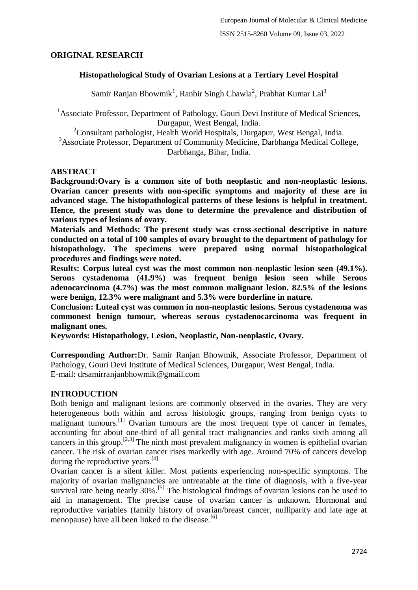## **ORIGINAL RESEARCH**

## **Histopathological Study of Ovarian Lesions at a Tertiary Level Hospital**

Samir Ranjan Bhowmik<sup>1</sup>, Ranbir Singh Chawla<sup>2</sup>, Prabhat Kumar Lal<sup>3</sup>

<sup>1</sup>Associate Professor, Department of Pathology, Gouri Devi Institute of Medical Sciences, Durgapur, West Bengal, India.

 $2^2$ Consultant pathologist, Health World Hospitals, Durgapur, West Bengal, India.

<sup>3</sup>Associate Professor, Department of Community Medicine, Darbhanga Medical College, Darbhanga, Bihar, India.

## **ABSTRACT**

**Background:Ovary is a common site of both neoplastic and non-neoplastic lesions. Ovarian cancer presents with non-specific symptoms and majority of these are in advanced stage. The histopathological patterns of these lesions is helpful in treatment. Hence, the present study was done to determine the prevalence and distribution of various types of lesions of ovary.**

**Materials and Methods: The present study was cross-sectional descriptive in nature conducted on a total of 100 samples of ovary brought to the department of pathology for histopathology. The specimens were prepared using normal histopathological procedures and findings were noted.**

**Results: Corpus luteal cyst was the most common non-neoplastic lesion seen (49.1%). Serous cystadenoma (41.9%) was frequent benign lesion seen while Serous adenocarcinoma (4.7%) was the most common malignant lesion. 82.5% of the lesions were benign, 12.3% were malignant and 5.3% were borderline in nature.**

**Conclusion: Luteal cyst was common in non-neoplastic lesions. Serous cystadenoma was commonest benign tumour, whereas serous cystadenocarcinoma was frequent in malignant ones.**

**Keywords: Histopathology, Lesion, Neoplastic, Non-neoplastic, Ovary.**

**Corresponding Author:**Dr. Samir Ranjan Bhowmik, Associate Professor, Department of Pathology, Gouri Devi Institute of Medical Sciences, Durgapur, West Bengal, India. E-mail: drsamirranjanbhowmik@gmail.com

## **INTRODUCTION**

Both benign and malignant lesions are commonly observed in the ovaries. They are very heterogeneous both within and across histologic groups, ranging from benign cysts to malignant tumours.<sup>[1]</sup> Ovarian tumours are the most frequent type of cancer in females, accounting for about one-third of all genital tract malignancies and ranks sixth among all cancers in this group.<sup>[2,3]</sup> The ninth most prevalent malignancy in women is epithelial ovarian cancer. The risk of ovarian cancer rises markedly with age. Around 70% of cancers develop during the reproductive years. $[4]$ 

Ovarian cancer is a silent killer. Most patients experiencing non-specific symptoms. The majority of ovarian malignancies are untreatable at the time of diagnosis, with a five-year survival rate being nearly 30%.<sup>[5]</sup> The histological findings of ovarian lesions can be used to aid in management. The precise cause of ovarian cancer is unknown. Hormonal and reproductive variables (family history of ovarian/breast cancer, nulliparity and late age at menopause) have all been linked to the disease.  $[6]$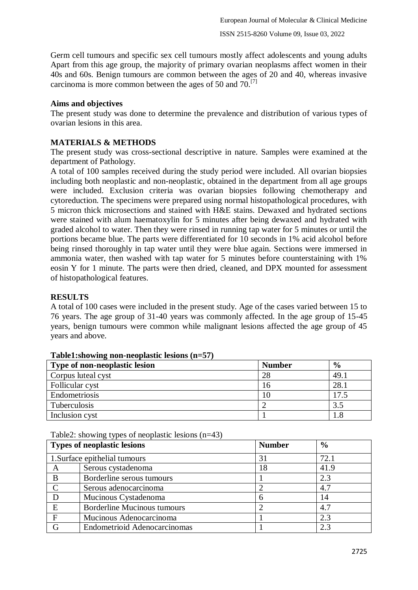Germ cell tumours and specific sex cell tumours mostly affect adolescents and young adults Apart from this age group, the majority of primary ovarian neoplasms affect women in their 40s and 60s. Benign tumours are common between the ages of 20 and 40, whereas invasive carcinoma is more common between the ages of 50 and  $70$ .<sup>[7]</sup>

## **Aims and objectives**

The present study was done to determine the prevalence and distribution of various types of ovarian lesions in this area.

# **MATERIALS & METHODS**

The present study was cross-sectional descriptive in nature. Samples were examined at the department of Pathology.

A total of 100 samples received during the study period were included. All ovarian biopsies including both neoplastic and non-neoplastic, obtained in the department from all age groups were included. Exclusion criteria was ovarian biopsies following chemotherapy and cytoreduction. The specimens were prepared using normal histopathological procedures, with 5 micron thick microsections and stained with H&E stains. Dewaxed and hydrated sections were stained with alum haematoxylin for 5 minutes after being dewaxed and hydrated with graded alcohol to water. Then they were rinsed in running tap water for 5 minutes or until the portions became blue. The parts were differentiated for 10 seconds in 1% acid alcohol before being rinsed thoroughly in tap water until they were blue again. Sections were immersed in ammonia water, then washed with tap water for 5 minutes before counterstaining with 1% eosin Y for 1 minute. The parts were then dried, cleaned, and DPX mounted for assessment of histopathological features.

#### **RESULTS**

A total of 100 cases were included in the present study. Age of the cases varied between 15 to 76 years. The age group of 31-40 years was commonly affected. In the age group of 15-45 years, benign tumours were common while malignant lesions affected the age group of 45 years and above.

| Type of non-neoplastic lesion | <b>Number</b> | $\frac{6}{6}$ |
|-------------------------------|---------------|---------------|
| Corpus luteal cyst            | 28            | 49.1          |
| Follicular cyst               | 16            | 28.1          |
| Endometriosis                 |               | 17.5          |
| Tuberculosis                  |               | 3.5           |
| Inclusion cyst                |               |               |

#### **Table1:showing non-neoplastic lesions (n=57)**

Table2: showing types of neoplastic lesions  $(n=43)$ 

|             | <b>Types of neoplastic lesions</b>  | <b>Number</b> | $\frac{6}{6}$ |
|-------------|-------------------------------------|---------------|---------------|
|             | 1. Surface epithelial tumours       | 31            | 72.1          |
| A           | Serous cystadenoma                  | 18            | 41.9          |
| B           | Borderline serous tumours           |               | 2.3           |
| $\mathbf C$ | Serous adenocarcinoma               |               | 4.7           |
| D           | Mucinous Cystadenoma                |               | 14            |
| E           | <b>Borderline Mucinous tumours</b>  |               | 4.7           |
| $\mathbf F$ | Mucinous Adenocarcinoma             |               | 2.3           |
| G           | <b>Endometrioid Adenocarcinomas</b> |               | 2.3           |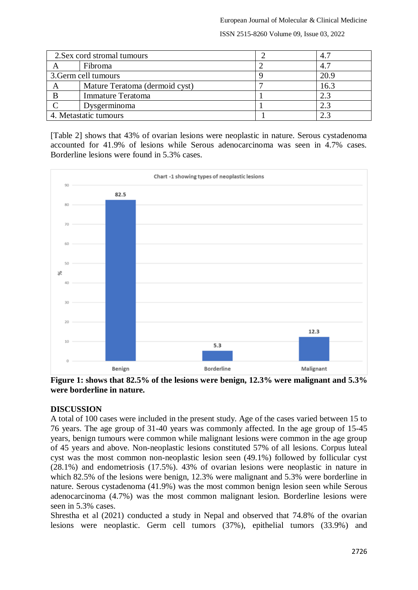ISSN 2515-8260 Volume 09, Issue 03, 2022

| 2. Sex cord stromal tumours |                                | 4.7  |
|-----------------------------|--------------------------------|------|
|                             | Fibroma                        | 4.7  |
| 3. Germ cell tumours        |                                | 20.9 |
| A                           | Mature Teratoma (dermoid cyst) | 16.3 |
|                             | <b>Immature Teratoma</b>       | 2.3  |
|                             | Dysgerminoma                   | 2.3  |
| 4. Metastatic tumours       |                                | 2.3  |

[Table 2] shows that 43% of ovarian lesions were neoplastic in nature. Serous cystadenoma accounted for 41.9% of lesions while Serous adenocarcinoma was seen in 4.7% cases. Borderline lesions were found in 5.3% cases.



**Figure 1: shows that 82.5% of the lesions were benign, 12.3% were malignant and 5.3% were borderline in nature.**

## **DISCUSSION**

A total of 100 cases were included in the present study. Age of the cases varied between 15 to 76 years. The age group of 31-40 years was commonly affected. In the age group of 15-45 years, benign tumours were common while malignant lesions were common in the age group of 45 years and above. Non-neoplastic lesions constituted 57% of all lesions. Corpus luteal cyst was the most common non-neoplastic lesion seen (49.1%) followed by follicular cyst (28.1%) and endometriosis (17.5%). 43% of ovarian lesions were neoplastic in nature in which 82.5% of the lesions were benign, 12.3% were malignant and 5.3% were borderline in nature. Serous cystadenoma (41.9%) was the most common benign lesion seen while Serous adenocarcinoma (4.7%) was the most common malignant lesion. Borderline lesions were seen in 5.3% cases.

Shrestha et al (2021) conducted a study in Nepal and observed that 74.8% of the ovarian lesions were neoplastic. Germ cell tumors (37%), epithelial tumors (33.9%) and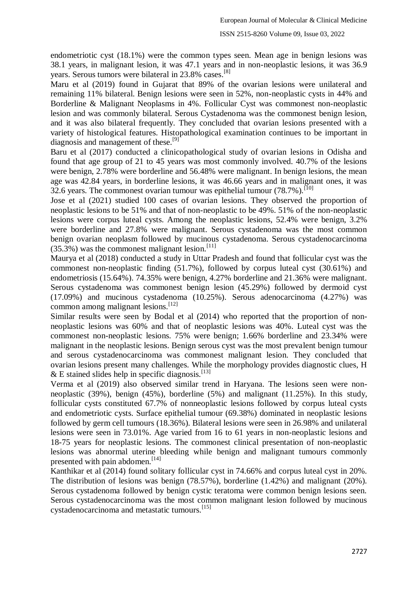#### ISSN 2515-8260 Volume 09, Issue 03, 2022

endometriotic cyst (18.1%) were the common types seen. Mean age in benign lesions was 38.1 years, in malignant lesion, it was 47.1 years and in non-neoplastic lesions, it was 36.9 years. Serous tumors were bilateral in 23.8% cases.<sup>[8]</sup>

Maru et al (2019) found in Gujarat that 89% of the ovarian lesions were unilateral and remaining 11% bilateral. Benign lesions were seen in 52%, non-neoplastic cysts in 44% and Borderline & Malignant Neoplasms in 4%. Follicular Cyst was commonest non-neoplastic lesion and was commonly bilateral. Serous Cystadenoma was the commonest benign lesion, and it was also bilateral frequently. They concluded that ovarian lesions presented with a variety of histological features. Histopathological examination continues to be important in diagnosis and management of these.<sup>[9]</sup>

Baru et al (2017) conducted a clinicopathological study of ovarian lesions in Odisha and found that age group of 21 to 45 years was most commonly involved. 40.7% of the lesions were benign, 2.78% were borderline and 56.48% were malignant. In benign lesions, the mean age was 42.84 years, in borderline lesions, it was 46.66 years and in malignant ones, it was 32.6 years. The commonest ovarian tumour was epithelial tumour  $(78.7\%)$ .<sup>[10]</sup>

Jose et al (2021) studied 100 cases of ovarian lesions. They observed the proportion of neoplastic lesions to be 51% and that of non-neoplastic to be 49%. 51% of the non-neoplastic lesions were corpus luteal cysts. Among the neoplastic lesions, 52.4% were benign, 3.2% were borderline and 27.8% were malignant. Serous cystadenoma was the most common benign ovarian neoplasm followed by mucinous cystadenoma. Serous cystadenocarcinoma  $(35.3%)$  was the commonest malignant lesion.<sup>[11]</sup>

Maurya et al (2018) conducted a study in Uttar Pradesh and found that follicular cyst was the commonest non-neoplastic finding (51.7%), followed by corpus luteal cyst (30.61%) and endometriosis (15.64%). 74.35% were benign, 4.27% borderline and 21.36% were malignant. Serous cystadenoma was commonest benign lesion (45.29%) followed by dermoid cyst (17.09%) and mucinous cystadenoma (10.25%). Serous adenocarcinoma (4.27%) was common among malignant lesions.[12]

Similar results were seen by Bodal et al (2014) who reported that the proportion of nonneoplastic lesions was 60% and that of neoplastic lesions was 40%. Luteal cyst was the commonest non-neoplastic lesions. 75% were benign; 1.66% borderline and 23.34% were malignant in the neoplastic lesions. Benign serous cyst was the most prevalent benign tumour and serous cystadenocarcinoma was commonest malignant lesion. They concluded that ovarian lesions present many challenges. While the morphology provides diagnostic clues, H  $&$  E stained slides help in specific diagnosis.<sup>[13]</sup>

Verma et al (2019) also observed similar trend in Haryana. The lesions seen were nonneoplastic (39%), benign (45%), borderline (5%) and malignant (11.25%). In this study, follicular cysts constituted 67.7% of nonneoplastic lesions followed by corpus luteal cysts and endometriotic cysts. Surface epithelial tumour (69.38%) dominated in neoplastic lesions followed by germ cell tumours (18.36%). Bilateral lesions were seen in 26.98% and unilateral lesions were seen in 73.01%. Age varied from 16 to 61 years in non-neoplastic lesions and 18-75 years for neoplastic lesions. The commonest clinical presentation of non-neoplastic lesions was abnormal uterine bleeding while benign and malignant tumours commonly presented with pain abdomen.<sup>[14]</sup>

Kanthikar et al (2014) found solitary follicular cyst in 74.66% and corpus luteal cyst in 20%. The distribution of lesions was benign (78.57%), borderline (1.42%) and malignant (20%). Serous cystadenoma followed by benign cystic teratoma were common benign lesions seen. Serous cystadenocarcinoma was the most common malignant lesion followed by mucinous cystadenocarcinoma and metastatic tumours.[15]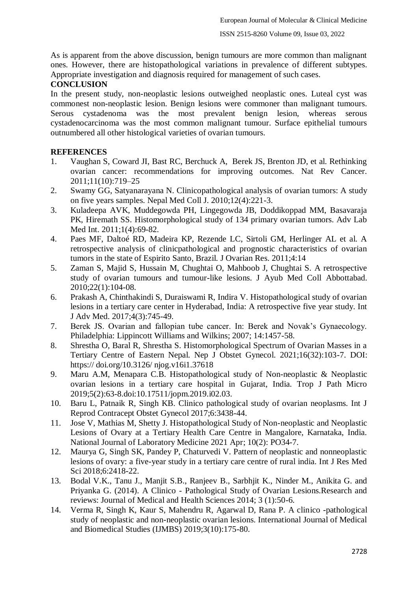As is apparent from the above discussion, benign tumours are more common than malignant ones. However, there are histopathological variations in prevalence of different subtypes. Appropriate investigation and diagnosis required for management of such cases.

# **CONCLUSION**

In the present study, non-neoplastic lesions outweighed neoplastic ones. Luteal cyst was commonest non-neoplastic lesion. Benign lesions were commoner than malignant tumours. Serous cystadenoma was the most prevalent benign lesion, whereas serous cystadenocarcinoma was the most common malignant tumour. Surface epithelial tumours outnumbered all other histological varieties of ovarian tumours.

# **REFERENCES**

- 1. Vaughan S, Coward JI, Bast RC, Berchuck A, Berek JS, Brenton JD, et al. Rethinking ovarian cancer: recommendations for improving outcomes. Nat Rev Cancer. 2011;11(10):719–25
- 2. Swamy GG, Satyanarayana N. Clinicopathological analysis of ovarian tumors: A study on five years samples. Nepal Med Coll J. 2010;12(4):221-3.
- 3. Kuladeepa AVK, Muddegowda PH, Lingegowda JB, Doddikoppad MM, Basavaraja PK, Hiremath SS. Histomorphological study of 134 primary ovarian tumors. Adv Lab Med Int. 2011;1(4):69-82.
- 4. Paes MF, Daltoé RD, Madeira KP, Rezende LC, Sirtoli GM, Herlinger AL et al. A retrospective analysis of clinicpathological and prognostic characteristics of ovarian tumors in the state of Espirito Santo, Brazil. J Ovarian Res. 2011;4:14
- 5. Zaman S, Majid S, Hussain M, Chughtai O, Mahboob J, Chughtai S. A retrospective study of ovarian tumours and tumour-like lesions. J Ayub Med Coll Abbottabad. 2010;22(1):104-08.
- 6. Prakash A, Chinthakindi S, Duraiswami R, Indira V. Histopathological study of ovarian lesions in a tertiary care center in Hyderabad, India: A retrospective five year study. Int J Adv Med. 2017;4(3):745-49.
- 7. Berek JS. Ovarian and fallopian tube cancer. In: Berek and Novak's Gynaecology. Philadelphia: Lippincott Williams and Wilkins; 2007; 14:1457-58.
- 8. Shrestha O, Baral R, Shrestha S. Histomorphological Spectrum of Ovarian Masses in a Tertiary Centre of Eastern Nepal. Nep J Obstet Gynecol. 2021;16(32):103-7. DOI: https:// doi.org/10.3126/ njog.v16i1.37618
- 9. Maru A.M, Menapara C.B. Histopathological study of Non-neoplastic & Neoplastic ovarian lesions in a tertiary care hospital in Gujarat, India. Trop J Path Micro 2019;5(2):63-8.doi:10.17511/jopm.2019.i02.03.
- 10. Baru L, Patnaik R, Singh KB. Clinico pathological study of ovarian neoplasms. Int J Reprod Contracept Obstet Gynecol 2017;6:3438-44.
- 11. Jose V, Mathias M, Shetty J. Histopathological Study of Non-neoplastic and Neoplastic Lesions of Ovary at a Tertiary Health Care Centre in Mangalore, Karnataka, India. National Journal of Laboratory Medicine 2021 Apr; 10(2): PO34-7.
- 12. Maurya G, Singh SK, Pandey P, Chaturvedi V. Pattern of neoplastic and nonneoplastic lesions of ovary: a five-year study in a tertiary care centre of rural india. Int J Res Med Sci 2018;6:2418-22.
- 13. Bodal V.K., Tanu J., Manjit S.B., Ranjeev B., Sarbhjit K., Ninder M., Anikita G. and Priyanka G. (2014). A Clinico - Pathological Study of Ovarian Lesions.Research and reviews: Journal of Medical and Health Sciences 2014; 3 (1):50-6.
- 14. Verma R, Singh K, Kaur S, Mahendru R, Agarwal D, Rana P. A clinico -pathological study of neoplastic and non-neoplastic ovarian lesions. International Journal of Medical and Biomedical Studies (IJMBS) 2019;3(10):175-80.